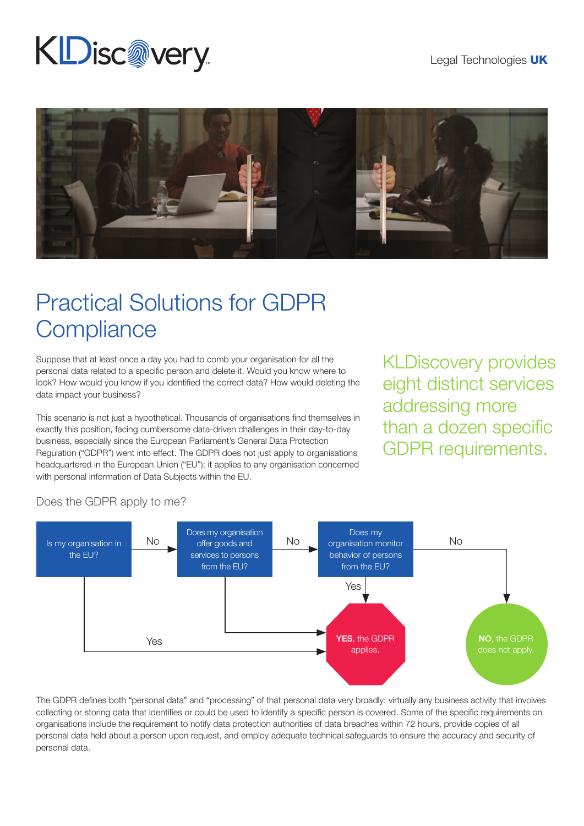## **KDisc@very**



## Practical Solutions for GDPR **Compliance**

Suppose that at least once a day you had to comb your organisation for all the personal data related to a specific person and delete it. Would you know where to look? How would you know if you identified the correct data? How would deleting the data impact your business?

This scenario is not just a hypothetical. Thousands of organisations find themselves in exactly this position, facing cumbersome data-driven challenges in their day-to-day business, especially since the European Parliament's General Data Protection Regulation ("GDPR") went into effect. The GDPR does not just apply to organisations headquartered in the European Union ("EU"); it applies to any organisation concerned with personal information of Data Subjects within the EU.

KLDiscovery provides eight distinct services addressing more than a dozen specific GDPR requirements.



## Does the GDPR apply to me?

The GDPR defines both "personal data" and "processing" of that personal data very broadly: virtually any business activity that involves collecting or storing data that identifies or could be used to identify a specific person is covered. Some of the specific requirements on organisations include the requirement to notify data protection authorities of data breaches within 72 hours, provide copies of all personal data held about a person upon request, and employ adequate technical safeguards to ensure the accuracy and security of personal data.